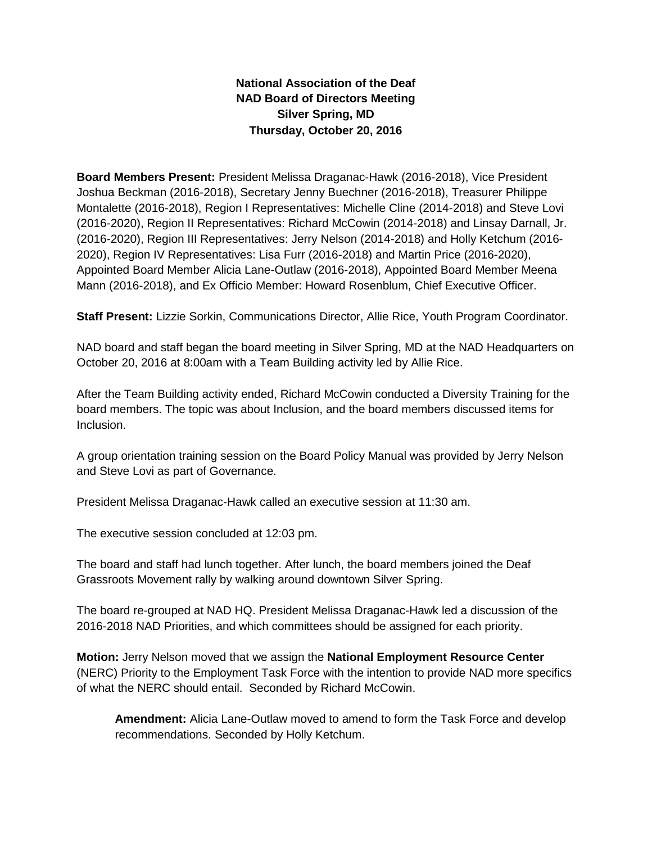# **National Association of the Deaf NAD Board of Directors Meeting Silver Spring, MD Thursday, October 20, 2016**

**Board Members Present:** President Melissa Draganac-Hawk (2016-2018), Vice President Joshua Beckman (2016-2018), Secretary Jenny Buechner (2016-2018), Treasurer Philippe Montalette (2016-2018), Region I Representatives: Michelle Cline (2014-2018) and Steve Lovi (2016-2020), Region II Representatives: Richard McCowin (2014-2018) and Linsay Darnall, Jr. (2016-2020), Region III Representatives: Jerry Nelson (2014-2018) and Holly Ketchum (2016- 2020), Region IV Representatives: Lisa Furr (2016-2018) and Martin Price (2016-2020), Appointed Board Member Alicia Lane-Outlaw (2016-2018), Appointed Board Member Meena Mann (2016-2018), and Ex Officio Member: Howard Rosenblum, Chief Executive Officer.

**Staff Present:** Lizzie Sorkin, Communications Director, Allie Rice, Youth Program Coordinator.

NAD board and staff began the board meeting in Silver Spring, MD at the NAD Headquarters on October 20, 2016 at 8:00am with a Team Building activity led by Allie Rice.

After the Team Building activity ended, Richard McCowin conducted a Diversity Training for the board members. The topic was about Inclusion, and the board members discussed items for Inclusion.

A group orientation training session on the Board Policy Manual was provided by Jerry Nelson and Steve Lovi as part of Governance.

President Melissa Draganac-Hawk called an executive session at 11:30 am.

The executive session concluded at 12:03 pm.

The board and staff had lunch together. After lunch, the board members joined the Deaf Grassroots Movement rally by walking around downtown Silver Spring.

The board re-grouped at NAD HQ. President Melissa Draganac-Hawk led a discussion of the 2016-2018 NAD Priorities, and which committees should be assigned for each priority.

**Motion:** Jerry Nelson moved that we assign the **National Employment Resource Center** (NERC) Priority to the Employment Task Force with the intention to provide NAD more specifics of what the NERC should entail. Seconded by Richard McCowin.

**Amendment:** Alicia Lane-Outlaw moved to amend to form the Task Force and develop recommendations. Seconded by Holly Ketchum.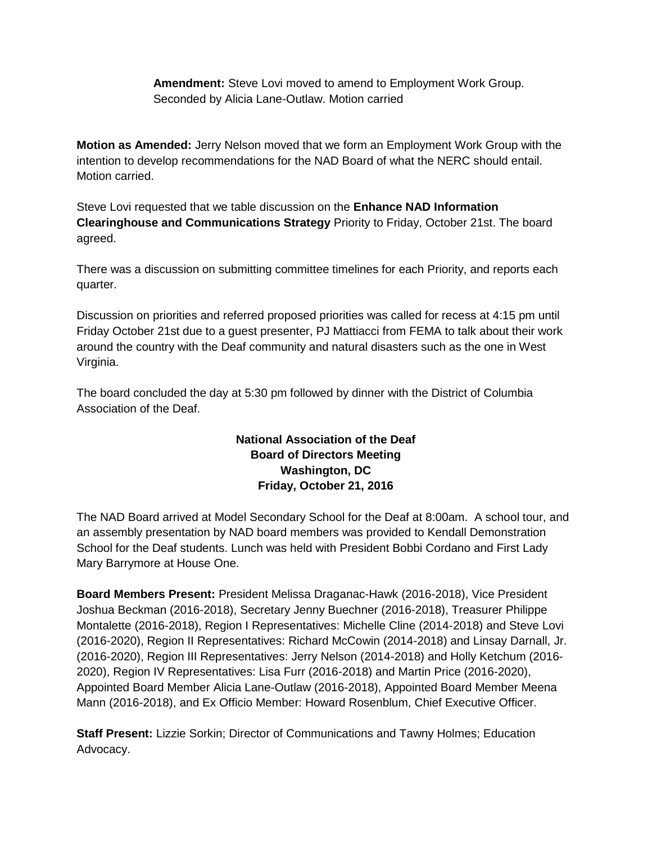**Amendment:** Steve Lovi moved to amend to Employment Work Group. Seconded by Alicia Lane-Outlaw. Motion carried

**Motion as Amended:** Jerry Nelson moved that we form an Employment Work Group with the intention to develop recommendations for the NAD Board of what the NERC should entail. Motion carried.

Steve Lovi requested that we table discussion on the **Enhance NAD Information Clearinghouse and Communications Strategy** Priority to Friday, October 21st. The board agreed.

There was a discussion on submitting committee timelines for each Priority, and reports each quarter.

Discussion on priorities and referred proposed priorities was called for recess at 4:15 pm until Friday October 21st due to a guest presenter, PJ Mattiacci from FEMA to talk about their work around the country with the Deaf community and natural disasters such as the one in West Virginia.

The board concluded the day at 5:30 pm followed by dinner with the District of Columbia Association of the Deaf.

# **National Association of the Deaf Board of Directors Meeting Washington, DC Friday, October 21, 2016**

The NAD Board arrived at Model Secondary School for the Deaf at 8:00am. A school tour, and an assembly presentation by NAD board members was provided to Kendall Demonstration School for the Deaf students. Lunch was held with President Bobbi Cordano and First Lady Mary Barrymore at House One.

**Board Members Present:** President Melissa Draganac-Hawk (2016-2018), Vice President Joshua Beckman (2016-2018), Secretary Jenny Buechner (2016-2018), Treasurer Philippe Montalette (2016-2018), Region I Representatives: Michelle Cline (2014-2018) and Steve Lovi (2016-2020), Region II Representatives: Richard McCowin (2014-2018) and Linsay Darnall, Jr. (2016-2020), Region III Representatives: Jerry Nelson (2014-2018) and Holly Ketchum (2016- 2020), Region IV Representatives: Lisa Furr (2016-2018) and Martin Price (2016-2020), Appointed Board Member Alicia Lane-Outlaw (2016-2018), Appointed Board Member Meena Mann (2016-2018), and Ex Officio Member: Howard Rosenblum, Chief Executive Officer.

**Staff Present:** Lizzie Sorkin; Director of Communications and Tawny Holmes; Education Advocacy.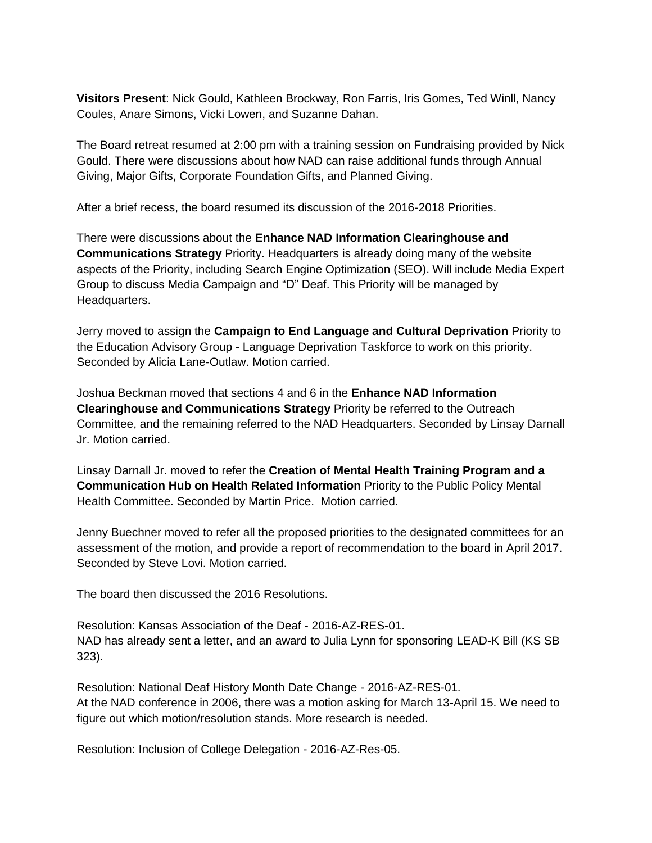**Visitors Present**: Nick Gould, Kathleen Brockway, Ron Farris, Iris Gomes, Ted Winll, Nancy Coules, Anare Simons, Vicki Lowen, and Suzanne Dahan.

The Board retreat resumed at 2:00 pm with a training session on Fundraising provided by Nick Gould. There were discussions about how NAD can raise additional funds through Annual Giving, Major Gifts, Corporate Foundation Gifts, and Planned Giving.

After a brief recess, the board resumed its discussion of the 2016-2018 Priorities.

There were discussions about the **Enhance NAD Information Clearinghouse and Communications Strategy** Priority. Headquarters is already doing many of the website aspects of the Priority, including Search Engine Optimization (SEO). Will include Media Expert Group to discuss Media Campaign and "D" Deaf. This Priority will be managed by Headquarters.

Jerry moved to assign the **Campaign to End Language and Cultural Deprivation** Priority to the Education Advisory Group - Language Deprivation Taskforce to work on this priority. Seconded by Alicia Lane-Outlaw. Motion carried.

Joshua Beckman moved that sections 4 and 6 in the **Enhance NAD Information Clearinghouse and Communications Strategy** Priority be referred to the Outreach Committee, and the remaining referred to the NAD Headquarters. Seconded by Linsay Darnall Jr. Motion carried.

Linsay Darnall Jr. moved to refer the **Creation of Mental Health Training Program and a Communication Hub on Health Related Information** Priority to the Public Policy Mental Health Committee. Seconded by Martin Price. Motion carried.

Jenny Buechner moved to refer all the proposed priorities to the designated committees for an assessment of the motion, and provide a report of recommendation to the board in April 2017. Seconded by Steve Lovi. Motion carried.

The board then discussed the 2016 Resolutions.

Resolution: Kansas Association of the Deaf - 2016-AZ-RES-01. NAD has already sent a letter, and an award to Julia Lynn for sponsoring LEAD-K Bill (KS SB 323).

Resolution: National Deaf History Month Date Change - 2016-AZ-RES-01. At the NAD conference in 2006, there was a motion asking for March 13-April 15. We need to figure out which motion/resolution stands. More research is needed.

Resolution: Inclusion of College Delegation - 2016-AZ-Res-05.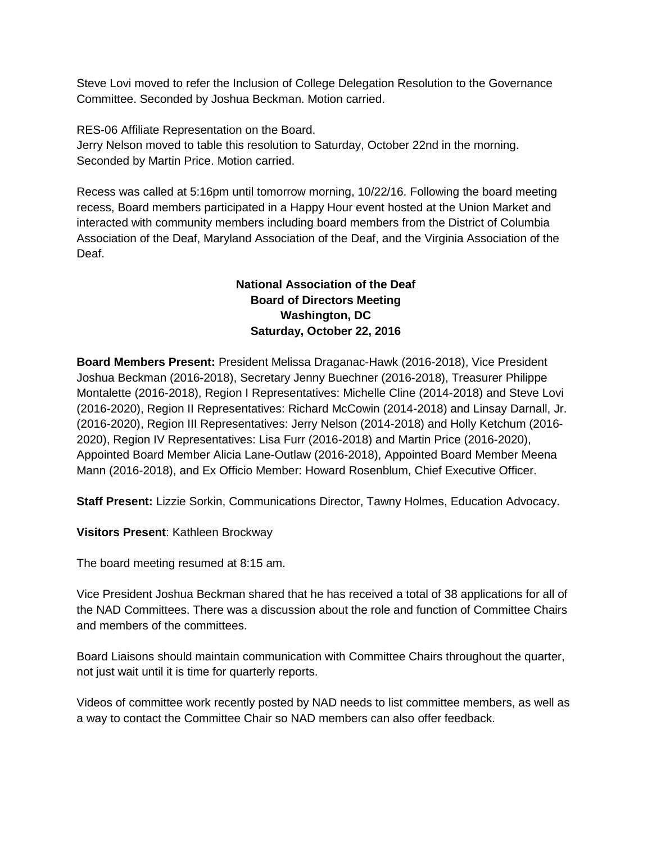Steve Lovi moved to refer the Inclusion of College Delegation Resolution to the Governance Committee. Seconded by Joshua Beckman. Motion carried.

RES-06 Affiliate Representation on the Board.

Jerry Nelson moved to table this resolution to Saturday, October 22nd in the morning. Seconded by Martin Price. Motion carried.

Recess was called at 5:16pm until tomorrow morning, 10/22/16. Following the board meeting recess, Board members participated in a Happy Hour event hosted at the Union Market and interacted with community members including board members from the District of Columbia Association of the Deaf, Maryland Association of the Deaf, and the Virginia Association of the Deaf.

## **National Association of the Deaf Board of Directors Meeting Washington, DC Saturday, October 22, 2016**

**Board Members Present:** President Melissa Draganac-Hawk (2016-2018), Vice President Joshua Beckman (2016-2018), Secretary Jenny Buechner (2016-2018), Treasurer Philippe Montalette (2016-2018), Region I Representatives: Michelle Cline (2014-2018) and Steve Lovi (2016-2020), Region II Representatives: Richard McCowin (2014-2018) and Linsay Darnall, Jr. (2016-2020), Region III Representatives: Jerry Nelson (2014-2018) and Holly Ketchum (2016- 2020), Region IV Representatives: Lisa Furr (2016-2018) and Martin Price (2016-2020), Appointed Board Member Alicia Lane-Outlaw (2016-2018), Appointed Board Member Meena Mann (2016-2018), and Ex Officio Member: Howard Rosenblum, Chief Executive Officer.

**Staff Present:** Lizzie Sorkin, Communications Director, Tawny Holmes, Education Advocacy.

**Visitors Present**: Kathleen Brockway

The board meeting resumed at 8:15 am.

Vice President Joshua Beckman shared that he has received a total of 38 applications for all of the NAD Committees. There was a discussion about the role and function of Committee Chairs and members of the committees.

Board Liaisons should maintain communication with Committee Chairs throughout the quarter, not just wait until it is time for quarterly reports.

Videos of committee work recently posted by NAD needs to list committee members, as well as a way to contact the Committee Chair so NAD members can also offer feedback.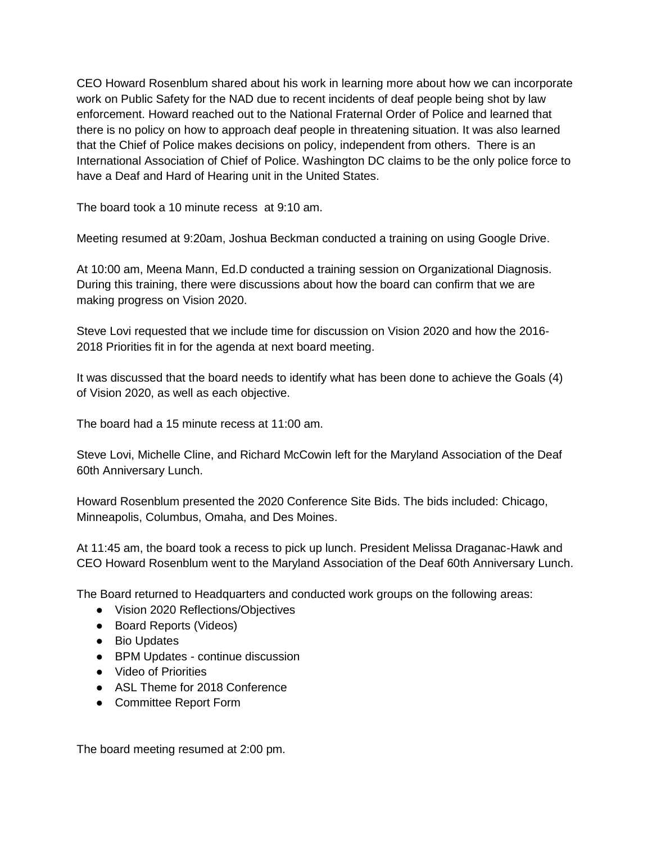CEO Howard Rosenblum shared about his work in learning more about how we can incorporate work on Public Safety for the NAD due to recent incidents of deaf people being shot by law enforcement. Howard reached out to the National Fraternal Order of Police and learned that there is no policy on how to approach deaf people in threatening situation. It was also learned that the Chief of Police makes decisions on policy, independent from others. There is an International Association of Chief of Police. Washington DC claims to be the only police force to have a Deaf and Hard of Hearing unit in the United States.

The board took a 10 minute recess at 9:10 am.

Meeting resumed at 9:20am, Joshua Beckman conducted a training on using Google Drive.

At 10:00 am, Meena Mann, Ed.D conducted a training session on Organizational Diagnosis. During this training, there were discussions about how the board can confirm that we are making progress on Vision 2020.

Steve Lovi requested that we include time for discussion on Vision 2020 and how the 2016- 2018 Priorities fit in for the agenda at next board meeting.

It was discussed that the board needs to identify what has been done to achieve the Goals (4) of Vision 2020, as well as each objective.

The board had a 15 minute recess at 11:00 am.

Steve Lovi, Michelle Cline, and Richard McCowin left for the Maryland Association of the Deaf 60th Anniversary Lunch.

Howard Rosenblum presented the 2020 Conference Site Bids. The bids included: Chicago, Minneapolis, Columbus, Omaha, and Des Moines.

At 11:45 am, the board took a recess to pick up lunch. President Melissa Draganac-Hawk and CEO Howard Rosenblum went to the Maryland Association of the Deaf 60th Anniversary Lunch.

The Board returned to Headquarters and conducted work groups on the following areas:

- Vision 2020 Reflections/Objectives
- Board Reports (Videos)
- Bio Updates
- BPM Updates continue discussion
- Video of Priorities
- ASL Theme for 2018 Conference
- Committee Report Form

The board meeting resumed at 2:00 pm.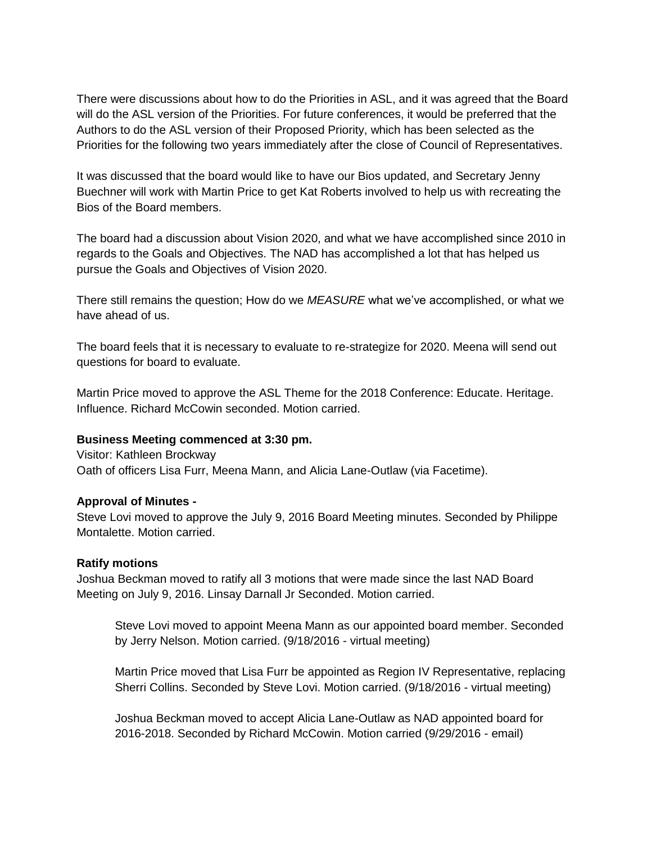There were discussions about how to do the Priorities in ASL, and it was agreed that the Board will do the ASL version of the Priorities. For future conferences, it would be preferred that the Authors to do the ASL version of their Proposed Priority, which has been selected as the Priorities for the following two years immediately after the close of Council of Representatives.

It was discussed that the board would like to have our Bios updated, and Secretary Jenny Buechner will work with Martin Price to get Kat Roberts involved to help us with recreating the Bios of the Board members.

The board had a discussion about Vision 2020, and what we have accomplished since 2010 in regards to the Goals and Objectives. The NAD has accomplished a lot that has helped us pursue the Goals and Objectives of Vision 2020.

There still remains the question; How do we *MEASURE* what we've accomplished, or what we have ahead of us.

The board feels that it is necessary to evaluate to re-strategize for 2020. Meena will send out questions for board to evaluate.

Martin Price moved to approve the ASL Theme for the 2018 Conference: Educate. Heritage. Influence. Richard McCowin seconded. Motion carried.

## **Business Meeting commenced at 3:30 pm.**

Visitor: Kathleen Brockway Oath of officers Lisa Furr, Meena Mann, and Alicia Lane-Outlaw (via Facetime).

#### **Approval of Minutes -**

Steve Lovi moved to approve the July 9, 2016 Board Meeting minutes. Seconded by Philippe Montalette. Motion carried.

#### **Ratify motions**

Joshua Beckman moved to ratify all 3 motions that were made since the last NAD Board Meeting on July 9, 2016. Linsay Darnall Jr Seconded. Motion carried.

Steve Lovi moved to appoint Meena Mann as our appointed board member. Seconded by Jerry Nelson. Motion carried. (9/18/2016 - virtual meeting)

Martin Price moved that Lisa Furr be appointed as Region IV Representative, replacing Sherri Collins. Seconded by Steve Lovi. Motion carried. (9/18/2016 - virtual meeting)

Joshua Beckman moved to accept Alicia Lane-Outlaw as NAD appointed board for 2016-2018. Seconded by Richard McCowin. Motion carried (9/29/2016 - email)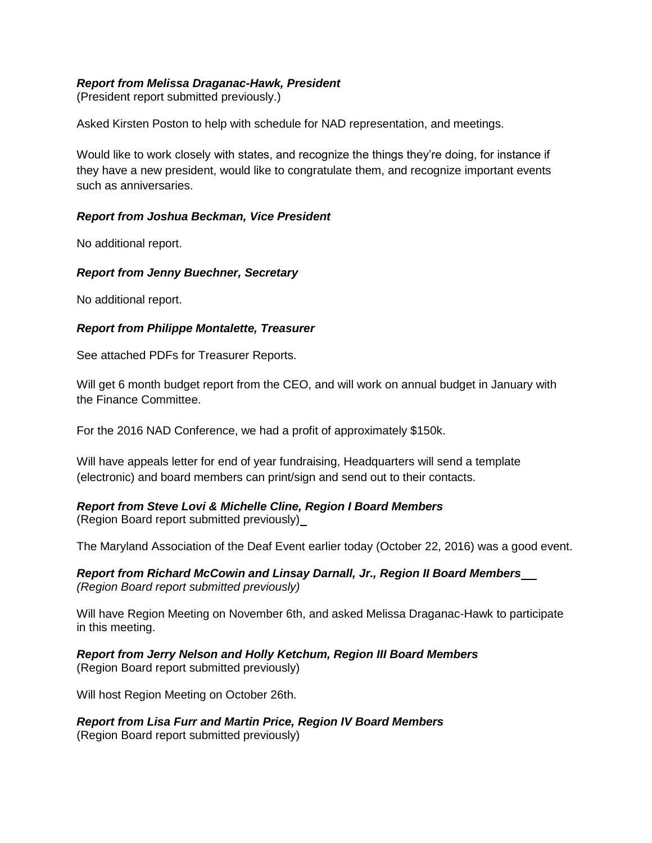## *Report from Melissa Draganac-Hawk, President*

(President report submitted previously.)

Asked Kirsten Poston to help with schedule for NAD representation, and meetings.

Would like to work closely with states, and recognize the things they're doing, for instance if they have a new president, would like to congratulate them, and recognize important events such as anniversaries.

## *Report from Joshua Beckman, Vice President*

No additional report.

#### *Report from Jenny Buechner, Secretary*

No additional report.

## *Report from Philippe Montalette, Treasurer*

See attached PDFs for Treasurer Reports.

Will get 6 month budget report from the CEO, and will work on annual budget in January with the Finance Committee.

For the 2016 NAD Conference, we had a profit of approximately \$150k.

Will have appeals letter for end of year fundraising, Headquarters will send a template (electronic) and board members can print/sign and send out to their contacts.

#### *Report from Steve Lovi & Michelle Cline, Region I Board Members*  (Region Board report submitted previously)

The Maryland Association of the Deaf Event earlier today (October 22, 2016) was a good event.

*Report from Richard McCowin and Linsay Darnall, Jr., Region II Board Members (Region Board report submitted previously)*

Will have Region Meeting on November 6th, and asked Melissa Draganac-Hawk to participate in this meeting.

*Report from Jerry Nelson and Holly Ketchum, Region III Board Members* (Region Board report submitted previously)

Will host Region Meeting on October 26th.

*Report from Lisa Furr and Martin Price, Region IV Board Members* (Region Board report submitted previously)